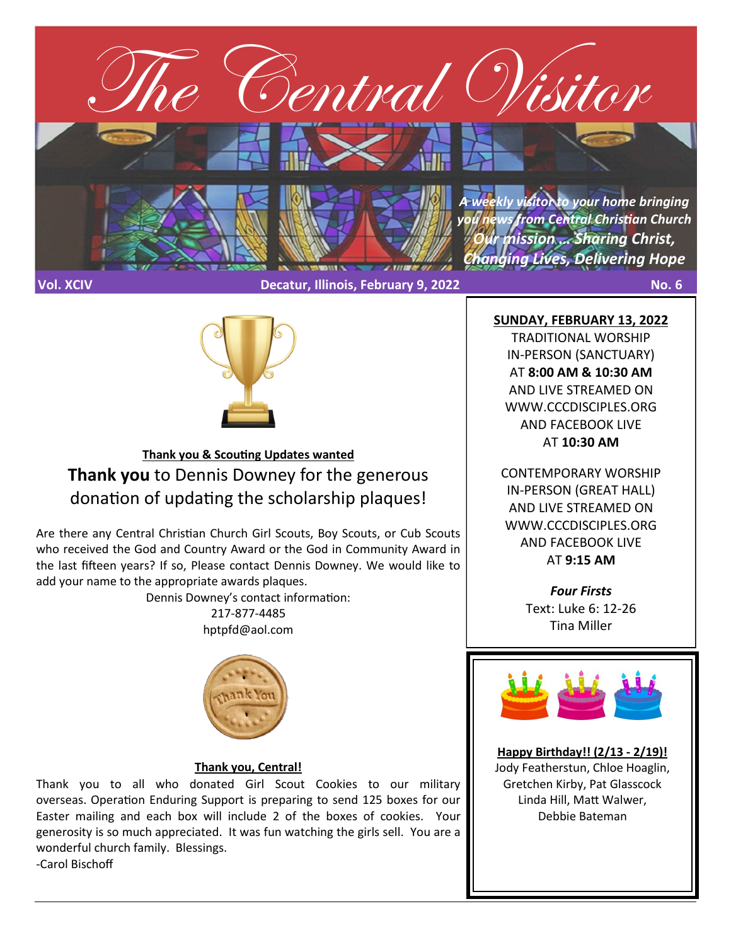

**Vol. XCIV Decatur, Illinois, February 9, 2022 No. 6**



# **Thank you & Scouting Updates wanted Thank you** to Dennis Downey for the generous donation of updating the scholarship plaques!

Are there any Central Christian Church Girl Scouts, Boy Scouts, or Cub Scouts who received the God and Country Award or the God in Community Award in the last fifteen years? If so, Please contact Dennis Downey. We would like to add your name to the appropriate awards plaques.

> Dennis Downey's contact information: 217-877-4485 hptpfd@aol.com



## **Thank you, Central!**

Thank you to all who donated Girl Scout Cookies to our military overseas. Operation Enduring Support is preparing to send 125 boxes for our Easter mailing and each box will include 2 of the boxes of cookies. Your generosity is so much appreciated. It was fun watching the girls sell. You are a wonderful church family. Blessings. -Carol Bischoff

**SUNDAY, FEBRUARY 13, 2022**

TRADITIONAL WORSHIP IN-PERSON (SANCTUARY) AT **8:00 AM & 10:30 AM**  AND LIVE STREAMED ON WWW.CCCDISCIPLES.ORG AND FACEBOOK LIVE AT **10:30 AM**

CONTEMPORARY WORSHIP IN-PERSON (GREAT HALL) AND LIVE STREAMED ON WWW.CCCDISCIPLES.ORG AND FACEBOOK LIVE AT **9:15 AM**

> *Four Firsts* Text: Luke 6: 12-26 Tina Miller



**Happy Birthday!! (2/13 - 2/19)!** Jody Featherstun, Chloe Hoaglin, Gretchen Kirby, Pat Glasscock Linda Hill, Matt Walwer, Debbie Bateman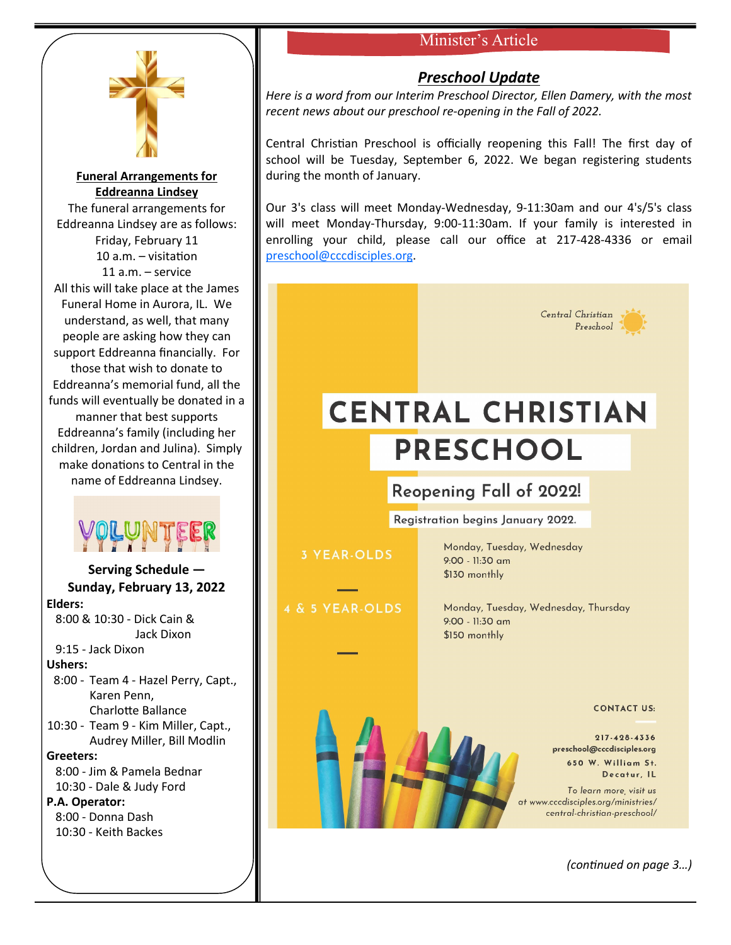## Minister's Article



**Funeral Arrangements for Eddreanna Lindsey** The funeral arrangements for Eddreanna Lindsey are as follows: Friday, February 11 10 a.m. – visitation 11 a.m. – service All this will take place at the James Funeral Home in Aurora, IL. We understand, as well, that many people are asking how they can support Eddreanna financially. For those that wish to donate to Eddreanna's memorial fund, all the funds will eventually be donated in a manner that best supports Eddreanna's family (including her children, Jordan and Julina). Simply make donations to Central in the name of Eddreanna Lindsey.



**Serving Schedule — Sunday, February 13, 2022 Elders:** 8:00 & 10:30 - Dick Cain & Jack Dixon 9:15 - Jack Dixon **Ushers:** 8:00 - Team 4 - Hazel Perry, Capt., Karen Penn, Charlotte Ballance 10:30 - Team 9 - Kim Miller, Capt., Audrey Miller, Bill Modlin **Greeters:** 8:00 - Jim & Pamela Bednar 10:30 - Dale & Judy Ford **P.A. Operator:** 8:00 - Donna Dash 10:30 - Keith Backes

## *Preschool Update*

*Here is a word from our Interim Preschool Director, Ellen Damery, with the most recent news about our preschool re-opening in the Fall of 2022.*

Central Christian Preschool is officially reopening this Fall! The first day of school will be Tuesday, September 6, 2022. We began registering students during the month of January.

Our 3's class will meet Monday-Wednesday, 9-11:30am and our 4's/5's class will meet Monday-Thursday, 9:00-11:30am. If your family is interested in enrolling your child, please call our office at 217-428-4336 or email [preschool@cccdisciples.org.](mailto:preschool@cccdisciples.org)

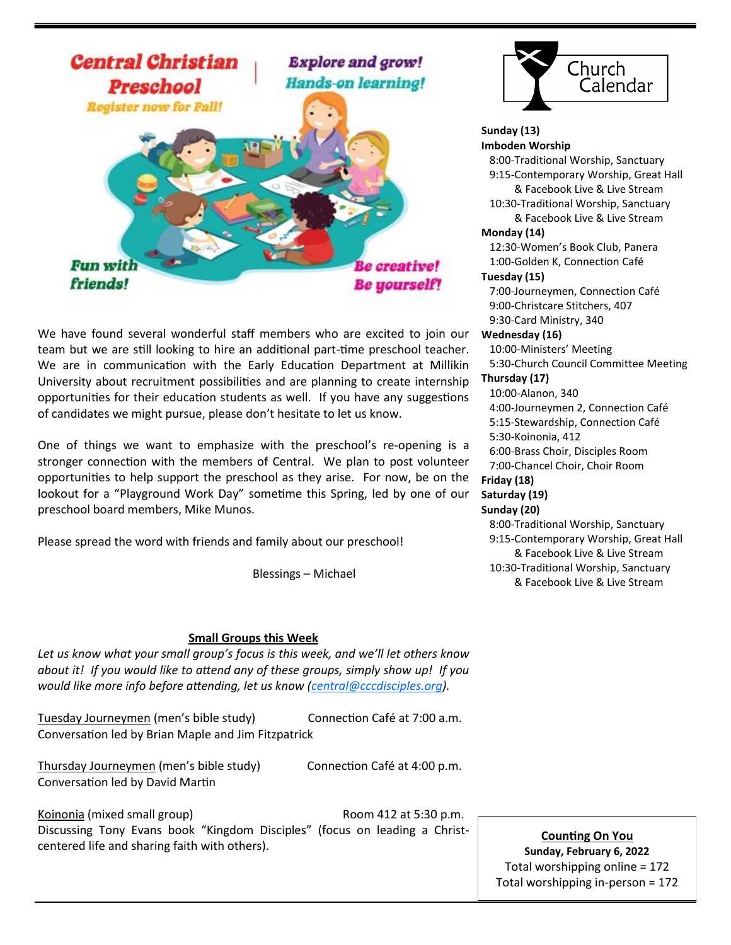

We have found several wonderful staff members who are excited to join our team but we are still looking to hire an additional part-time preschool teacher. We are in communication with the Early Education Department at Millikin University about recruitment possibilities and are planning to create internship opportunities for their education students as well. If you have any suggestions of candidates we might pursue, please don't hesitate to let us know.

One of things we want to emphasize with the preschool's re-opening is a stronger connection with the members of Central. We plan to post volunteer opportunities to help support the preschool as they arise. For now, be on the lookout for a "Playground Work Day" sometime this Spring, led by one of our preschool board members, Mike Munos.

Please spread the word with friends and family about our preschool!

Blessings – Michael

#### **Small Groups this Week**

*Let us know what your small group's focus is this week, and we'll let others know about it! If you would like to attend any of these groups, simply show up! If you would like more info before attending, let us know ([central@cccdisciples.org\)](mailto:central@cccdisciples.org).* 

Tuesday Journeymen (men's bible study) Connection Café at 7:00 a.m. Conversation led by Brian Maple and Jim Fitzpatrick

Thursday Journeymen (men's bible study) Connection Café at 4:00 p.m. Conversation led by David Martin

Koinonia (mixed small group) Room 412 at 5:30 p.m. Discussing Tony Evans book "Kingdom Disciples" (focus on leading a Christcentered life and sharing faith with others).



**Sunday (13) Imboden Worship** 8:00-Traditional Worship, Sanctuary 9:15-Contemporary Worship, Great Hall & Facebook Live & Live Stream 10:30-Traditional Worship, Sanctuary & Facebook Live & Live Stream **Monday (14)** 12:30-Women's Book Club, Panera 1:00-Golden K, Connection Café **Tuesday (15)** 7:00-Journeymen, Connection Café 9:00-Christcare Stitchers, 407 9:30-Card Ministry, 340 **Wednesday (16)** 10:00-Ministers' Meeting 5:30-Church Council Committee Meeting **Thursday (17)** 10:00-Alanon, 340 4:00-Journeymen 2, Connection Café 5:15-Stewardship, Connection Café 5:30-Koinonia, 412 6:00-Brass Choir, Disciples Room 7:00-Chancel Choir, Choir Room **Friday (18) Saturday (19) Sunday (20)** 8:00-Traditional Worship, Sanctuary

 9:15-Contemporary Worship, Great Hall & Facebook Live & Live Stream 10:30-Traditional Worship, Sanctuary & Facebook Live & Live Stream

**Counting On You Sunday, February 6, 2022** Total worshipping online = 172 Total worshipping in-person = 172